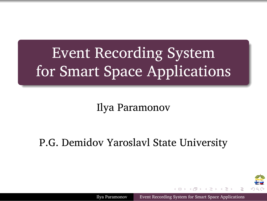Event Recording System for Smart Space Applications

.

.

Ilya Paramonov

P.G. Demidov Yaroslavl State University

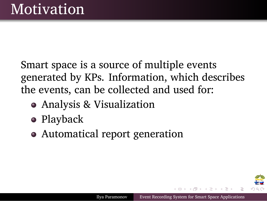### . Motivation

Smart space is a source of multiple events generated by KPs. Information, which describes the events, can be collected and used for:

. . . . . .

Ilya Paramonov Event Recording System for Smart Space Applicati

- Analysis & Visualization
- Playback
- Automatical report generation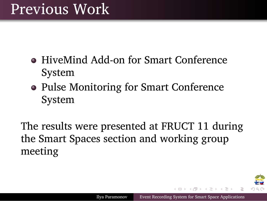### Previous Work

.

- HiveMind Add-on for Smart Conference System
- Pulse Monitoring for Smart Conference System

The results were presented at FRUCT 11 during the Smart Spaces section and working group meeting

Ilya Paramonov Event Recording System for Smart Space Applications

 $\mathbf{1}_{\{1,2\}\cup\{1,3\}\cup\{1,4\}}\mathbf{1}_{\{1,3\}\cup\{1,5\}\cup\{1,5\}}\mathbf{1}_{\{1,3\}\cup\{1,6\}}\mathbf{1}_{\{1,4\}\cup\{1,5\}}$ 

⊷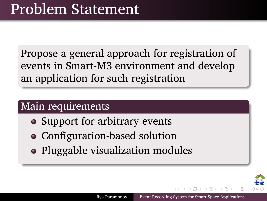## Problem Statement

.

.

. an application for such registration Propose a general approach for registration of events in Smart-M3 environment and develop

. . . . . .

把

Ilya Paramonov Event Recording System for Smart Space Applications

#### . Main requirements .

- Support for arbitrary events
- Configuration-based solution
- Pluggable visualization modules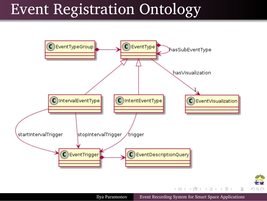# Event Registration Ontology

.

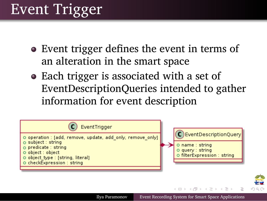### Event Trigger

.

- Event trigger defines the event in terms of an alteration in the smart space
- Each trigger is associated with a set of EventDescriptionQueries intended to gather information for event description

| EventTrigger                                                                                                                                                                                     |                                                                                                 |
|--------------------------------------------------------------------------------------------------------------------------------------------------------------------------------------------------|-------------------------------------------------------------------------------------------------|
| O operation : [add, remove, update, add only, remove only]<br>o subject : string<br>o predicate : string<br>O object : object<br>O object_type : [string, literal]<br>O checkExpression : string | C) Event Description Query<br>O name: string<br>O query : string<br>o filterExpression : string |
|                                                                                                                                                                                                  | イロメ (何) イヨメイヨメーヨート                                                                              |

Ilya Paramonov Event Recording System for Smart Space Applications

⊷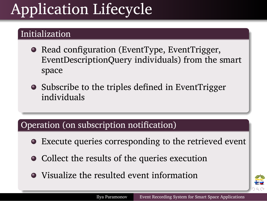## Application Lifecycle

#### . Initialization .

.

- Read configuration (EventType, EventTrigger, EventDescriptionQuery individuals) from the smart space
- Subscribe to the triples defined in EventTrigger individuals

### . Operation (on subscription notification) .

- Execute queries corresponding to the retrieved event
- Collect the results of the queries execution
- Visualize the resulted event information

. . . . . .

绝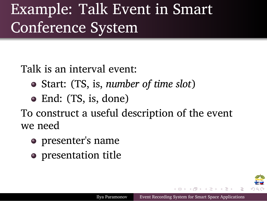### Example: Talk Event in Smart Conference System

Talk is an interval event:

.

- Start: (TS, is, *number of time slot*)
- End: (TS, is, done)

To construct a useful description of the event we need

. . . . . .

Ilya Paramonov Event Recording System for Smart Space Applications

- presenter's name
- presentation title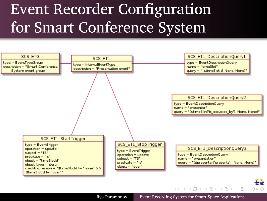### Event Recorder Configuration for Smart Conference System

.

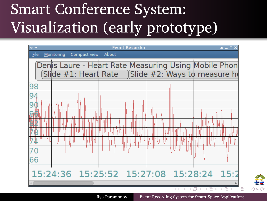### Smart Conference System: Visualization (early prototype)

.